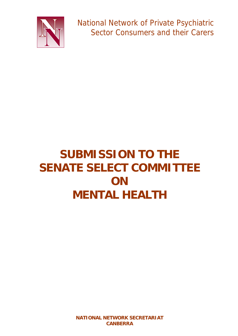

National Network of Private Psychiatric Sector Consumers and their Carers

# **SUBMISSION TO THE SENATE SELECT COMMITTEE ON MENTAL HEALTH**

**NATIONAL NETWORK SECRETARIAT CANBERRA**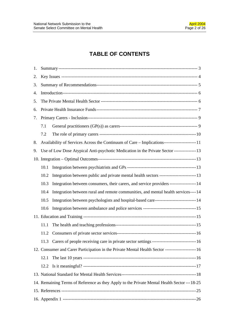# **TABLE OF CONTENTS**

| 1. |                                                                                                     |                                                                                               |  |  |
|----|-----------------------------------------------------------------------------------------------------|-----------------------------------------------------------------------------------------------|--|--|
| 2. |                                                                                                     |                                                                                               |  |  |
| 3. |                                                                                                     |                                                                                               |  |  |
| 4. |                                                                                                     |                                                                                               |  |  |
| 5. |                                                                                                     |                                                                                               |  |  |
| 6. |                                                                                                     |                                                                                               |  |  |
| 7. |                                                                                                     |                                                                                               |  |  |
|    | 7.1                                                                                                 |                                                                                               |  |  |
|    | 7.2                                                                                                 |                                                                                               |  |  |
| 8. |                                                                                                     |                                                                                               |  |  |
| 9. |                                                                                                     | Use of Low Dose Atypical Anti-psychotic Medication in the Private Sector ---------------13    |  |  |
|    |                                                                                                     |                                                                                               |  |  |
|    | 10.1                                                                                                |                                                                                               |  |  |
|    | 10.2                                                                                                |                                                                                               |  |  |
|    | 10.3                                                                                                | Integration between consumers, their carers, and service providers ------------------14       |  |  |
|    | 10.4                                                                                                | Integration between rural and remote communities, and mental health services----14            |  |  |
|    | 10.5                                                                                                | Integration between psychologists and hospital-based care----------------------------------14 |  |  |
|    | 10.6                                                                                                |                                                                                               |  |  |
|    |                                                                                                     |                                                                                               |  |  |
|    | 11.1                                                                                                |                                                                                               |  |  |
|    | 11.2                                                                                                |                                                                                               |  |  |
|    | 11.3                                                                                                |                                                                                               |  |  |
|    | 12. Consumer and Carer Participation in the Private Mental Health Sector ----------------------- 16 |                                                                                               |  |  |
|    | 12.1                                                                                                |                                                                                               |  |  |
|    | 12.2                                                                                                |                                                                                               |  |  |
|    |                                                                                                     |                                                                                               |  |  |
|    | 14. Remaining Terms of Reference as they Apply to the Private Mental Health Sector --- 18-25        |                                                                                               |  |  |
|    |                                                                                                     |                                                                                               |  |  |
|    |                                                                                                     |                                                                                               |  |  |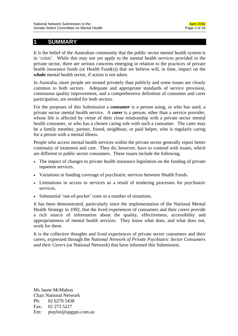### **1 SUMMARY**

It is the belief of the Australian community that the public sector mental health system is in 'crisis'. While this may not yet apply to the mental health services provided in the private sector, there are serious concerns emerging in relation to the practices of private health insurance funds (or Health Fund(s)) that we believe will, in time, impact on the **whole** mental health sector, if action is not taken.

In Australia, more people are treated privately than publicly and some issues are clearly common to both sectors. Adequate and appropriate standards of service provision, continuous quality improvement, and a comprehensive definition of consumer and carer participation, are needed for both sectors.

For the purposes of this Submission a *consumer* is a person using, or who has used, a private sector mental health service. A *carer* is a person, other than a service provider, whose life is affected by virtue of their close relationship with a private sector mental health consumer, or who has a chosen caring role with such a consumer. The carer may be a family member, partner, friend, neighbour, or paid helper, who is regularly caring for a person with a mental illness.

People who access mental health services within the private sector generally report better continuity of treatment and care. They do, however, have to contend with issues, which are different to public sector consumers. These issues include the following.

- The impact of changes to private health insurance legislation on the funding of private inpatient services.
- Variations in funding coverage of psychiatric services between Health Funds.
- Limitations in access to services as a result of tendering processes for psychiatric services.
- Substantial 'out-of-pocket' costs in a number of situations.

It has been demonstrated, particularly since the implementation of the National Mental Health Strategy in 1992, that the lived experiences of consumers and their carers provide a rich source of information about the quality, effectiveness, accessibility and appropriateness of mental health services. They know what does, and what does not, work for them.

It is the collective thoughts and lived experiences of private sector consumers and their carers, expressed through the *National Network of Private Psychiatric Sector Consumers and their Carers* (or National Network) that have informed this Submission.

Ms Janne McMahon Chair National Network Ph: 02 6270 5438 Fax: 02 273 5227 Em: ptaylor@spgpps.com.au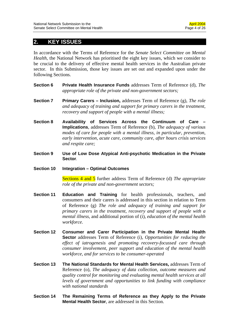### **2. KEY ISSUES**

In accordance with the Terms of Reference for the *Senate Select Committee on Mental Health*, the National Network has prioritised the eight key issues, which we consider to be crucial to the delivery of effective mental health services in the Australian private sector. In this Submission, those key issues are set out and expanded upon under the following Sections.

- **Section 6 Private Health Insurance Funds** addresses Term of Reference (d), *The appropriate role of the private and non-government sectors;*
- **Section 7 Primary Carers Inclusion,** addresses Term of Reference (g), *The role and adequacy of training and support for primary carers in the treatment, recovery and support of people with a mental illness;*
- **Section 8 Availability of Services Across the Continuum of Care Implications**, addresses Term of Reference (b)*, The adequacy of various modes of care for people with a mental illness, in particular, prevention, early intervention, acute care, community care, after hours crisis services and respite care;*
- **Section 9 Use of Low Dose Atypical Anti-psychotic Medication in the Private Sector***.*
- **Section 10 Integration Optimal Outcomes**

Sections 4 and 5 further address Term of Reference (d) *The appropriate role of the private and non-government sectors;* 

- **Section 11 Education and Training** for health professionals, teachers, and consumers and their carers is addressed in this section in relation to Term of Reference (g) *The role and adequacy of training and support for primary carers in the treatment, recovery and support of people with a mental illness*, and additional portion of (i), *education of the mental health workforce.*
- **Section 12 Consumer and Carer Participation in the Private Mental Health Sector** addresses Term of Reference (i), *Opportunities for reducing the effect of iatrogenesis and promoting recovery-focussed care through consumer involvement, peer support and education of the mental health workforce, and for services to be consumer-operated*
- **Section 13 The National Standards for Mental Health Services,** addresses Term of Reference (o), *The adequacy of data collection, outcome measures and quality control for monitoring and evaluating mental health services at all levels of government and opportunities to link funding with compliance with national standards*
- **Section 14 The Remaining Terms of Reference as they Apply to the Private Mental Health Sector**, are addressed in this Section.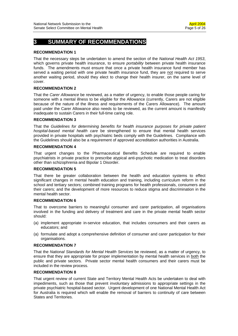### **3 SUMMARY OF RECOMMENDATIONS**

#### **RECOMMENDATION 1**

That the necessary steps be undertaken to amend the section of the *National Health Act 1953*, which governs private health insurance, to ensure *portability* between private health insurance funds. The amendments must ensure that once a private health insurance fund member has served a waiting period with one private health insurance fund, they are not required to serve another waiting period, should they elect to change their health insurer, on the same level of cover.

#### **RECOMMENDATION 2**

That the *Carer Allowance* be reviewed, as a matter of urgency, to enable those people caring for someone with a mental illness to be eligible for the Allowance (currently, Carers are not eligible because of the nature of the illness and requirements of the Carers Allowance). The amount paid under the Carer Allowance also needs to be reviewed, as the current amount is manifestly inadequate to sustain Carers in their full-time caring role.

#### **RECOMMENDATION 3**

That the *Guidelines for determining benefits for health insurance purposes for private patient hospital-based mental health care* be strengthened to ensure that mental health services provided in private hospitals with psychiatric beds comply with the Guidelines. Compliance with the Guidelines should also be a requirement of approved accreditation authorities in Australia.

#### **RECOMMENDATION 4**

That urgent changes to the Pharmaceutical Benefits Schedule are required to enable psychiatrists in private practice to prescribe atypical anti-psychotic medication to treat disorders other than schizophrenia and Bipolar 1 Disorder.

#### **RECOMMENDATION 5**

That there be greater collaboration between the health and education systems to effect significant changes in mental health education and training, including curriculum reform in the school and tertiary sectors; combined training programs for health professionals, consumers and their carers; and the development of more resources to reduce stigma and discrimination in the mental health sector.

#### **RECOMMENDATION 6**

That to overcome barriers to meaningful consumer and carer participation, all organisations involved in the funding and delivery of treatment and care in the private mental health sector should:

- (a) implement appropriate in-service education, that includes consumers and their carers as educators; and
- (a) formulate and adopt a comprehensive definition of consumer and carer participation for their organisations.

#### **RECOMMENDATION 7**

That the *National Standards for Mental Health Services* be reviewed, as a matter of urgency, to ensure that they are appropriate for proper implementation by mental health services in both the public and private sectors. Private sector mental health consumers and their carers must be included in the review process.

#### **RECOMMENDATION 8**

That urgent review of current State and Territory Mental Health Acts be undertaken to deal with impediments, such as those that prevent involuntary admissions to appropriate settings in the private psychiatric hospital-based sector. Urgent development of one National Mental Health Act for Australia is required which will enable the removal of barriers to continuity of care between States and Territories.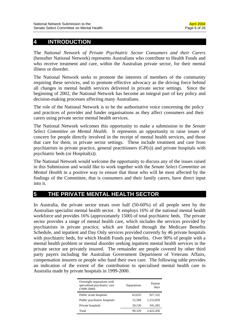### **4 INTRODUCTION**

The *National Network of Private Psychiatric Sector Consumers and their Carers* (hereafter National Network) represents Australians who contribute to Health Funds and who receive treatment and care, within the Australian private sector, for their mental illness or disorder.

The National Network seeks to promote the interests of members of the community requiring these services, and to promote effective advocacy as the driving force behind all changes in mental health services delivered in private sector settings. Since the beginning of 2002, the National Network has become an integral part of key policy and decision-making processes affecting many Australians.

The role of the National Network is to be the authoritative voice concerning the policy and practices of provider and funder organisations as they affect consumers and their carers using private sector mental health services.

The National Network welcomes this opportunity to make a submission to the *Senate Select Committee on Mental Health.* It represents an opportunity to raise issues of concern for people directly involved in the receipt of mental health services, and those that care for them, in private sector settings. These include treatment and care from psychiatrists in private practice, general practitioners (GP(s)) and private hospitals with psychiatric beds (or Hospital(s)).

The National Network would welcome the opportunity to discuss any of the issues raised in this Submission and would like to work together with the *Senate Select Committee on Mental Health* in a positive way to ensure that those who will be most affected by the findings of the Committee, that is consumers and their family carers, have direct input into it.

### **5 THE PRIVATE MENTAL HEALTH SECTOR**

In Australia, the private sector treats over half (50-60%) of all people seen by the Australian specialist mental health sector. It employs 16% of the national mental health workforce and provides 16% (approximately 1500) of total psychiatric beds. The private sector provides a range of mental health care, which includes the services provided by psychiatrists in private practice, which are funded through the Medicare Benefits Schedule, and inpatient and Day Only services provided currently by 46 private hospitals with psychiatric beds, for which Health Funds pay benefits. Over 90% of people with a mental health problem or mental disorder seeking inpatient mental health services in the private sector are privately insured. The remainder are people covered by other third party payers including the Australian Government Department of Veterans Affairs, compensation insurers or people who fund their own care. The following table provides an indication of the extent of the contribution to specialised mental health care in Australia made by private hospitals in 1999-2000.

| Overnight separations with<br>specialised psychiatric care<br>$(1999-2000)$ | Separations | Patient<br>days |
|-----------------------------------------------------------------------------|-------------|-----------------|
| Public acute hospitals                                                      | 63,635      | 927.332         |
| Public psychiatric hospitals                                                | 15.568      | 1.153.859       |
| Private hospitals                                                           | 20,126      | 341,265         |
| Total                                                                       | 99.329      | 2.422.456       |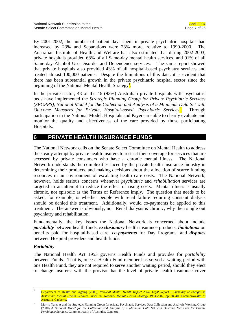By 2001-2002, the number of patient days spent in private psychiatric hospitals had increased by 23% and Separations were 28% more, relative to 1999-2000. The Australian Institute of Health and Welfare has also estimated that during 2002-2003, private hospitals provided 68% of all Same-day mental health services, and 91% of all Same-day Alcohol Use Disorder and Dependence services. The same report showed that private hospitals also provided 43% of all hospital-based psychiatry services and treated almost 100,000 patients. Despite the limitations of this data, it is evident that there has been substantial growth in the private psychiatric hospital sector since the beginning of the National Mental Health Strategy*<sup>1</sup> .*

In the private sector, 43 of the 46 (93%) Australian private hospitals with psychiatric beds have implemented the *Strategic Planning Group for Private Psychiatric Services (SPGPPS), National Model for the Collection and Analysis of a Minimum Data Set with Outcome Measures for Private, Hospital-based, Psychiatric Services*<sup>2</sup>. . Through participation in the National Model, Hospitals and Payers are able to clearly evaluate and monitor the quality and effectiveness of the care provided by those participating Hospitals.

### **6 PRIVATE HEALTH INSURANCE FUNDS**

The National Network calls on the Senate Select Committee on Mental Health to address the steady attempt by private health insurers to restrict their coverage for services that are accessed by private consumers who have a chronic mental illness. The National Network understands the complexities faced by the private health insurance industry in determining their products, and making decisions about the allocation of scarce funding resources in an environment of escalating health care costs. The National Network, however, holds serious concerns whenever *psychiatric* and *rehabilitation* services are targeted in an attempt to reduce the effect of rising costs. Mental illness is usually chronic, not episodic as the Terms of Reference imply. The question that needs to be asked, for example, is whether people with renal failure requiring constant dialysis should be denied this treatment. Additionally, would co-payments be applied to this treatment. The answer is obviously, no. Renal dialysis is chronic, why then single out psychiatry and rehabilitation.

Fundamentally, the key issues the National Network is concerned about include *portability* between health funds, *exclusionary* health insurance products, *limitations* on benefits paid for hospital-based care, *co-payments* for Day Programs, and *disputes* between Hospital providers and health funds.

### *Portability*

 $\overline{a}$ 

The National Health Act 1953 governs Health Funds and provides for *portability* between Funds. That is, once a Health Fund member has served a waiting period with one Health Fund, they are not required to serve another waiting period, should they elect to change insurers, with the proviso that the level of private health insurance cover

<sup>1</sup> Department of Health and Ageing (2003), *National Mental Health Report 2004, Eight Report – Summary of changes in Australia's Mental Health Services under the National Mental Health Strategy 1993-2002,* pp: 34-40, Commonwealth of Australia, Canberra.

<sup>2</sup> Morris-Yates A and the Strategic Planning Group for private Psychiatric Services Data Collection and Analysis Working Group (2000) *A National Model for the Collection and Analysis of a Minimum Data Set with Outcome Measures for Private Psychiatric Services.* Commonwealth of Australia, Canberra.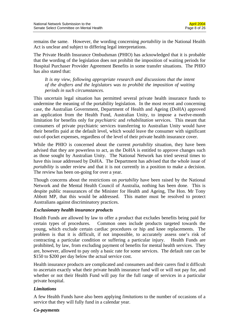remains the same. However, the wording concerning *portability* in the National Health Act is unclear and subject to differing legal interpretations.

The Private Health Insurance Ombudsman (PHIO) has acknowledged that it is probable that the wording of the legislation does not prohibit the imposition of waiting periods for Hospital Purchaser Provider Agreement Benefits in some transfer situations. The PHIO has also stated that:

*It is my view, following appropriate research and discussions that the intent of the drafters and the legislators was to prohibit the imposition of waiting periods in such circumstances.* 

This uncertain legal situation has permitted several private health insurance funds to undermine the meaning of the portability legislation. In the most recent and concerning case, the Australian Government, Department of Health and Ageing (DoHA) approved an application from the Health Fund, Australian Unity, to impose a twelve-month limitation for benefits only for *psychiatric* and *rehabilitation* services. This meant that consumers of private psychiatric services transferring to Australian Unity would have their benefits paid at the default level, which would leave the consumer with significant out-of-pocket expenses, regardless of the level of their private health insurance cover.

While the PHIO is concerned about the current *portability* situation, they have been advised that they are powerless to act, as the DoHA is entitled to approve changes such as those sought by Australian Unity. The National Network has tried several times to have this issue addressed by DoHA. The Department has advised that the whole issue of *portability* is under review and that it is not currently in a position to make a decision. The review has been on-going for over a year.

Though concerns about the restrictions on *portability* have been raised by the National Network and the Mental Health Council of Australia, nothing has been done. This is despite public reassurances of the Minister for Health and Ageing, The Hon. Mr Tony Abbott MP, that this would be addressed. This matter must be resolved to protect Australians against discriminatory practices.

#### *Exclusionary health insurance products*

Health Funds are allowed by law to offer a product that excludes benefits being paid for certain types of procedures. Common ones include products targeted towards the young, which exclude certain cardiac procedures or hip and knee replacements. The problem is that it is difficult, if not impossible, to accurately assess one's risk of contracting a particular condition or suffering a particular injury. Health Funds are prohibited, by law, from excluding payment of benefits for mental health services. They are, however, allowed to pay only a basic rate for some services. The default rate can be \$150 to \$200 per day below the actual service cost.

Health insurance products are complicated and consumers and their carers find it difficult to ascertain exactly what their private health insurance fund will or will not pay for, and whether or not their Health Fund will pay for the full range of services in a particular private hospital.

#### *Limitations*

A few Health Funds have also been applying *limitations* to the number of occasions of a service that they will fully fund in a calendar year.

#### *Co-payments*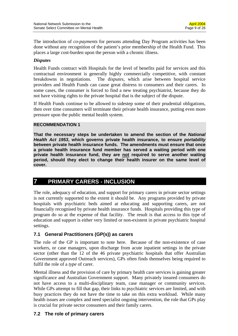The introduction of *co-payments* for persons attending Day Program activities has been done without any recognition of the patient's prior membership of the Health Fund. This places a large cost-burden upon the person with a chronic illness.

### *Disputes*

Health Funds contract with Hospitals for the level of benefits paid for services and this contractual environment is generally highly commercially competitive, with constant breakdowns in negotiations. The d*isputes*, which arise between hospital service providers and Health Funds can cause great distress to consumers and their carers. In some cases, the consumer is forced to find a new treating psychiatrist, because they do not have visiting rights to the private hospital that is the subject of the dispute.

If Health Funds continue to be allowed to sidestep some of their prudential obligations, then over time consumers will terminate their private health insurance, putting even more pressure upon the public mental health system.

#### **RECOMMENDATION 1**

**That the necessary steps be undertaken to amend the section of the** *National Health Act 1953***, which governs private health insurance, to ensure** *portability* **between private health insurance funds. The amendments must ensure that once a private health insurance fund member has served a waiting period with one private health insurance fund, they are not required to serve another waiting period, should they elect to change their health insurer on the same level of cover.** 

### **7 PRIMARY CARERS - INCLUSION**

The role, adequacy of education, and support for primary carers in private sector settings is not currently supported to the extent it should be. Any programs provided by private hospitals with psychiatric beds aimed at educating and supporting carers, are not financially recognised by private health insurance funds. Hospitals providing this type of program do so at the expense of that facility. The result is that access to this type of education and support is either very limited or non-existent in private psychiatric hospital settings.

### **7.1 General Practitioners (GP(s)) as carers**

The role of the GP is important to note here. Because of the non-existence of case workers, or case managers, upon discharge from acute inpatient settings in the private sector (other than the 12 of the 46 private psychiatric hospitals that offer Australian Government approved Outreach services), GPs often finds themselves being required to fulfil the role of a *type* of carer.

Mental illness and the provision of care by primary health care services is gaining greater significance and Australian Government support. Many privately insured consumers do not have access to a multi-disciplinary team, case manager or community services. While GPs attempt to fill that gap, their links to psychiatric services are limited, and with busy practices they do not have the time to take on this extra workload. While many health issues are complex and need specialist ongoing intervention, the role that GPs play is crucial for private sector consumers and their family carers.

### **7.2 The role of primary carers**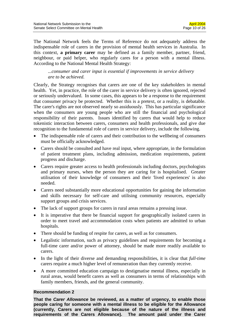The National Network feels the Terms of Reference do not adequately address the indispensable role of carers in the provision of mental health services in Australia. In this context, **a primary carer** may be defined as a family member, partner, friend, neighbour, or paid helper, who regularly cares for a person with a mental illness. According to the National Mental Health Strategy:

*...consumer and carer input is essential if improvements in service delivery are to be achieved.* 

Clearly, the Strategy recognises that carers are one of the key stakeholders in mental health. Yet, in practice, the role of the carer in service delivery is often ignored, rejected or seriously undervalued. In some cases, this appears to be a response to the requirement that consumer privacy be protected. Whether this is a pretext, or a reality, is debatable. The carer's rights are not observed nearly so assiduously. This has particular significance when the consumers are young people who are still the financial and psychological responsibility of their parents. Issues identified by carers that would help to reduce tokenistic interaction between carers, consumers and health professionals, and give due recognition to the fundamental role of carers in service delivery, include the following.

- The indispensable role of carers and their contribution to the wellbeing of consumers must be officially acknowledged.
- Carers should be consulted and have real input, where appropriate, in the formulation of patient treatment plans, including admission, medication requirements, patient progress and discharge.
- Carers require greater access to health professionals including doctors, psychologists and primary nurses, when the person they are caring for is hospitalised. Greater utilisation of their knowledge of consumers and their 'lived experiences' is also needed.
- Carers need substantially more educational opportunities for gaining the information and skills necessary for self-care and utilising community resources, especially support groups and crisis services.
- The lack of support groups for carers in rural areas remains a pressing issue.
- It is imperative that there be financial support for geographically isolated carers in order to meet travel and accommodation costs when patients are admitted to urban hospitals.
- There should be funding of respite for carers, as well as for consumers.
- Legalistic information, such as privacy guidelines and requirements for becoming a full-time carer and/or power of attorney, should be made more readily available to carers.
- In the light of their diverse and demanding responsibilities, it is clear that *full-time* carers require a much higher level of remuneration than they currently receive.
- A more committed education campaign to destigmatise mental illness, especially in rural areas, would benefit carers as well as consumers in terms of relationships with family members, friends, and the general community.

#### **Recommendation 2**

**That the** *Carer Allowance* **be reviewed, as a matter of urgency, to enable those people caring for someone with a mental illness to be eligible for the Allowance (currently, Carers are not eligible because of the nature of the illness and requirements of the Carers Allowance). The amount paid under the Carer**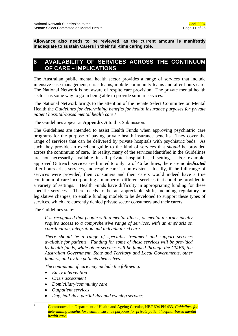**Allowance also needs to be reviewed, as the current amount is manifestly inadequate to sustain Carers in their full-time caring role.** 

### **8 AVAILABILITY OF SERVICES ACROSS THE CONTINUUM OF CARE – IMPLICATIONS**

The Australian public mental health sector provides a range of services that include intensive case management, crisis teams, mobile community teams and after hours care. The National Network is not aware of respite care provision. The private mental health sector has some way to go in being able to provide similar services.

The National Network brings to the attention of the Senate Select Committee on Mental Health the *Guidelines for determining benefits for health insurance purposes for private patient hospital-based mental health care*. 3

The Guidelines appear at **Appendix A** to this Submission.

The Guidelines are intended to assist Health Funds when approving psychiatric care programs for the purpose of paying private health insurance benefits. They cover the range of services that can be delivered by private hospitals with psychiatric beds. As such they provide an excellent guide to the kind of services that *should* be provided across the continuum of care. In reality, many of the services identified in the Guidelines are not necessarily available in all private hospital-based settings. For example, approved Outreach services are limited to only 12 of 46 facilities, there are no *dedicated* after hours crisis services, and respite care is non-existent. Ideally, if the full range of services were provided, then consumers and their carers would indeed have a true continuum of care incorporating a number of different services that could be provided in a variety of settings. Health Funds have difficulty in appropriating funding for these specific services. There needs to be an appreciable shift, including regulatory or legislative changes, to enable funding models to be developed to support these types of services, which are currently denied private sector consumers and their carers.

The Guidelines state:

*It is recognised that people with a mental illness, or mental disorder ideally require access to a comprehensive range of services, with an emphasis on coordination, integration and individualised care.* 

*There should be a range of specialist treatment and support services available for patients. Funding for some of these services will be provided by health funds, while other services will be funded through the CMBS, the Australian Government, State and Territory and Local Governments, other funders, and by the patients themselves.* 

*The continuum of care may include the following.* 

- *Early intervention*
- *Crisis assessment*
- *Domiciliary/community care*
- *Outpatient services*

 $\frac{1}{3}$ 

- *Day, half-day, partial-day and evening services*
- Commonwealth Department of Health and Ageing Circular, HBF 694 PH 433, *Guidelines for determining benefits for health insurance purposes for private patient hospital-based mental health care.*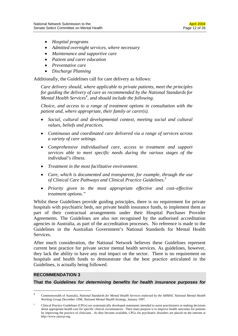- *Hospital programs*
- *Admitted overnight services, where necessary*
- *Maintenance and supportive care*
- *Patient and carer education*
- *Preventative care*
- *Discharge Planning*

Additionally, the Guidelines call for care delivery as follows:

*Care delivery should, where applicable to private patients, meet the principles for guiding the delivery of care as recommended by the National Standards for Mental Health Services4 , and should include the following.* 

*Choice, and access to a range of treatment options in consultation with the patient and, where appropriate, their family or carer(s).* 

- *Social, cultural and developmental context, meeting social and cultural values, beliefs and practices.*
- *Continuous and coordinated care delivered via a range of services across a variety of care settings.*
- *Comprehensive individualised care, access to treatment and support services able to meet specific needs during the various stages of the individual's illness.*
- *Treatment in the most facilitative environment.*
- *Care, which is documented and transparent, for example, through the use*  of Clinical Care Pathways and Clinical Practice Guidelines.<sup>5</sup>
- *Priority given to the most appropriate effective and cost–effective treatment options."*

Whilst these Guidelines provide guiding principles, there is no requirement for private hospitals with psychiatric beds, nor private health insurance funds, to implement them as part of their contractual arrangements under their Hospital Purchaser Provider Agreements. The Guidelines are also not recognised by the authorised accreditation agencies in Australia, as part of the accreditation processes. No reference is made to the Guidelines in the Australian Government's National Standards for Mental Health Services.

After much consideration, the National Network believes these Guidelines represent current best practice for private sector mental health services. As guidelines, however, they lack the ability to have any real impact on the sector. There is no requirement on hospitals and health funds to demonstrate that the best practice articulated in the Guidelines, is actually being followed.

#### **RECOMMENDATION 3**

 $\overline{a}$ 

**That the** *Guidelines for determining benefits for health insurance purposes for* 

<sup>4</sup> Commonwealth of Australia, *National Standards for Mental Health Services endorsed by the AHMAC National Mental Health Working Group December 1996, National Mental Health Strategy*, January 1997.

<sup>5</sup> Clinical Practice Guidelines (CPGs) are systematically developed statements intended to assist practitioners in making decisions about appropriate health care for specific clinical circumstances. Their main purpose is to improve health outcomes for patients by improving the practice of clinicians. As they become available, CPGs for psychiatric disorders are placed on the internet at http://www.ranzcp.org.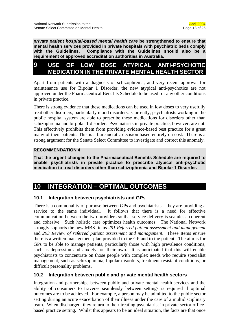*private patient hospital-based mental health care* **be strengthened to ensure that mental health services provided in private hospitals with psychiatric beds comply with the Guidelines. Compliance with the Guidelines should also be a requirement of approved accreditation authorities in Australia.** 

## **9 USE OF LOW DOSE ATYPICAL ANTI-PSYCHOTIC MEDICATION IN THE PRIVATE MENTAL HEALTH SECTOR**

Apart from patients with a diagnosis of schizophrenia, and very recent approval for maintenance use for Bipolar 1 Disorder, the new atypical anti-psychotics are not approved under the Pharmaceutical Benefits Schedule to be used for any other conditions in private practice.

There is strong evidence that these medications can be used in low doses to very usefully treat other disorders, particularly mood disorders. Currently, psychiatrists working in the public hospital system are able to prescribe these medications for disorders other than schizophrenia and bi-polar 1 disorder. Psychiatrists in private practice, however, are not. This effectively prohibits them from providing evidence-based best practice for a great many of their patients. This is a bureaucratic decision based entirely on cost. There is a strong argument for the Senate Select Committee to investigate and correct this anomaly.

### **RECOMMENDATION 4**

**That the urgent changes to the Pharmaceutical Benefits Schedule are required to enable psychiatrists in private practice to prescribe atypical anti-psychotic medication to treat disorders other than schizophrenia and Bipolar 1 Disorder.** 

# **10 INTEGRATION – OPTIMAL OUTCOMES**

### **10.1 Integration between psychiatrists and GPs**

There is a commonality of purpose between GPs and psychiatrists – they are providing a service to the same individual. It follows that there is a need for effective communication between the two providers so that service delivery is seamless, coherent and cohesive. Such holistic care optimizes health outcomes. The National Network strongly supports the new MBS Items *291 Referred patient assessment and management* and *293 Review of referred patient assessment and management*. These Items ensure there is a written management plan provided to the GP and to the patient. The aim is for GPs to be able to manage patients, particularly those with high prevalence conditions, such as depression and anxiety, on their own. It is anticipated that this will enable psychiatrists to concentrate on those people with complex needs who require specialist management, such as schizophrenia, bipolar disorders, treatment resistant conditions, or difficult personality problems.

### **10.2 Integration between public and private mental health sectors**

Integration and partnerships between public and private mental health services and the ability of consumers to traverse seamlessly between settings is required if optimal outcomes are to be achieved. For example, a person may be admitted to the public sector setting during an acute exacerbation of their illness under the care of a multidisciplinary team. When discharged, they return to their treating psychiatrist in private sector officebased practice setting. Whilst this appears to be an ideal situation, the facts are that once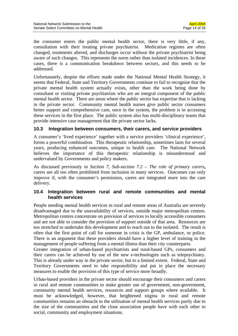the consumer enters the public mental health sector, there is very little, if any, consultation with their treating private psychiatrist. Medication regimes are often changed, treatments altered, and discharges occur without the private psychiatrist being aware of such changes. This represents the norm rather than isolated incidences. In these cases, there is a communication breakdown between sectors, and this needs to be addressed.

Unfortunately, despite the efforts made under the National Mental Health Strategy, it seems that Federal, State and Territory Governments continue to fail to recognise that the private mental health system actually exists, other than the work being done by consultant or visiting private psychiatrists who are an integral component of the public mental health sector. There are areas where the public sector has expertise that is lacking in the private sector. Community mental health nurses give public sector consumers better support and comprehensive care, once in the system, the problem is in accessing these services in the first place. The public system also has multi-disciplinary teams that provide intensive case management that the private sector lacks.

### **10.3 Integration between consumers, their carers, and service providers**

A consumer's 'lived experience' together with a service providers 'clinical experience', forms a powerful combination. This therapeutic relationship, sometimes lasts for several years, producing enhanced outcomes, unique to health care. The National Network believes the importance of this therapeutic relationship is misunderstood and undervalued by Governments and policy makers.

As discussed previously in *Section 7, Sub-section 7.2 – The role of primary carers***,**  carers are all too often prohibited from inclusion in many services. Outcomes can only improve if, with the consumer's permission, carers are integrated more into the care delivery.

### **10.4 Integration between rural and remote communities and mental health services**

People needing mental health services in rural and remote areas of Australia are severely disadvantaged due to the unavailability of services, outside major metropolitan centres. Metropolitan centres concentrate on provision of services to locally accessible consumers and are not able to consider the provision of support outside of that area. Resources are too stretched to undertake this development and to reach out to the isolated. The result is often that the first point of call for someone in crisis is the GP, ambulance, or police. There is an argument that these providers should have a higher level of training in the management of people suffering from a mental illness than their city counterparts.

Greater integration of urban-based psychiatrists and rural-based GPs, consumers and their carers can be achieved by use of the new e-technologies such as telepsychiatry. This is already under way in the private sector, but to a limited extent. Federal, State and Territory Governments need to take responsibility and put in place the necessary measures to enable the provision of this type of service more broadly.

Urban-based providers in the private sector should encourage their consumers and carers in rural and remote communities to make greater use of government, non-government, community mental health services, resources and support groups where available. It must be acknowledged, however, that heightened stigma in rural and remote communities remains an obstacle to the utilisation of mental health services partly due to the size of the communities and the close association people have with each other in social, community and employment situations.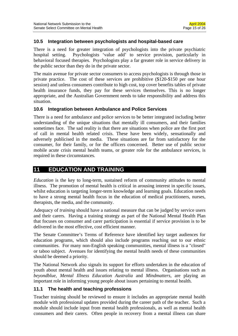### **10.5 Integration between psychologists and hospital-based care**

There is a need for greater integration of psychologists into the private psychiatric hospital setting. Psychologists 'value add' to service provision, particularly in behavioral focused therapies. Psychologists play a far greater role in service delivery in the public sector than they do in the private sector.

The main avenue for private sector consumers to access psychologists is through those in private practice. The cost of these services are prohibitive (\$120-\$150 per one hour session) and unless consumers contribute to high cost, top cover benefits tables of private health insurance funds, they pay for these services themselves. This is no longer appropriate, and the Australian Government needs to take responsibility and address this situation.

### **10.6 Integration between Ambulance and Police Services**

There is a need for ambulance and police services to be better integrated including better understanding of the unique situations that mentally ill consumers, and their families sometimes face. The sad reality is that there are situations when police are the first port of call in mental health related crisis. These have been widely, sensationally and adversely publicised in the media. These situations are far from satisfactory for the consumer, for their family, or for the officers concerned. Better use of public sector mobile acute crisis mental health teams, or greater role for the ambulance services, is required in these circumstances.

### **11 EDUCATION AND TRAINING**

*Education* is the key to long-term, sustained reform of community attitudes to mental illness. The promotion of mental health is critical in arousing interest in specific issues, whilst education is targeting longer-term knowledge and learning goals. Education needs to have a strong mental health focus in the education of medical practitioners, nurses, therapists, the media, and the community.

Adequacy of *training* should have a national measure that can be judged by service users and their carers. Having a training strategy as part of the National Mental Health Plan that focuses on consumer and carer participation is essential if service provision is to be delivered in the most effective, cost efficient manner.

The Senate Committee's Terms of Reference have identified key target audiences for education programs, which should also include programs reaching out to our ethnic communities. For many non-English speaking communities, mental illness is a "closed" or taboo subject. Avenues for identifying the mental health needs of these communities should be deemed a priority.

The National Network also signals its support for efforts undertaken in the education of youth about mental health and issues relating to mental illness. Organisations such as *beyondblue, Mental Illness Education Australia* and *Mindmatters*, are playing an important role in informing young people about issues pertaining to mental health.

### **11.1 The health and teaching professions**

Teacher training should be reviewed to ensure it includes an appropriate mental health module with professional updates provided during the career path of the teacher. Such a module should include input from mental health professionals, as well as mental health consumers and their carers. Often people in recovery from a mental illness can share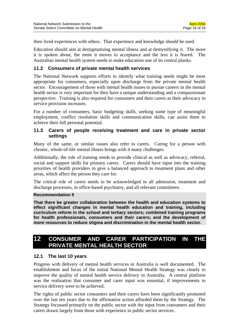their lived experiences with others. That experience and knowledge should be used.

Education should aim at destigmatising mental illness and at demystifying it. The more it is spoken about, the more it moves to acceptance and the less it is feared. The Australian mental health system needs to make education one of its central planks.

### **11.2 Consumers of private mental health services**

The National Network supports efforts to identify what training needs might be most appropriate for consumers, especially upon discharge from the private mental health sector. Encouragement of those with mental health issues to pursue careers in the mental health sector is very important for they have a unique understanding and a compassionate perspective. Training is also required for consumers and their carers as their advocacy in service provision increases.

For a number of consumers, basic budgeting skills, seeking some type of meaningful employment, conflict resolution skills and communication skills, can assist them to achieve their full personal potential.

### **11.3 Carers of people receiving treatment and care in private sector settings**

Many of the same, or similar issues also refer to carers. Caring for a person with chronic, whole-of-life mental illness brings with it many challenges.

Additionally, the role of training needs to provide clinical as well as advocacy, referral, social and support skills for primary carers. Carers should have input into the training priorities of health providers to give a balanced approach to treatment plans and other areas, which affect the person they care for.

The critical role of carers needs to be acknowledged in all admission, treatment and discharge processes, in office-based psychiatry, and all relevant committees.

#### **Recommendation 5**

**That there be greater collaboration between the health and education systems to effect significant changes in mental health education and training, including curriculum reform in the school and tertiary sectors; combined training programs for health professionals, consumers and their carers; and the development of more resources to reduce stigma and discrimination in the mental health sector.** 

### **12 CONSUMER AND CARER PARTICIPATION IN THE PRIVATE MENTAL HEALTH SECTOR**

#### **12.1 The last 10 years**

Progress with delivery of mental health services in Australia is well documented. The establishment and focus of the initial National Mental Health Strategy was clearly to improve the quality of mental health service delivery in Australia. A central platform was the realisation that consumer and carer input was essential, if improvements to service delivery were to be achieved.

The rights of public sector consumers and their carers have been significantly promoted over the last ten years due to the affirmative action afforded them by the Strategy. The Strategy focussed primarily on the public sector with the input from consumers and their carers drawn largely from those with experience in public sector services.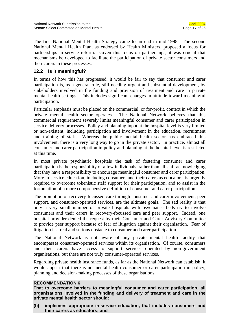The first National Mental Health Strategy came to an end in mid-1998. The second National Mental Health Plan, as endorsed by Health Ministers, proposed a focus for partnerships in service reform. Given this focus on partnerships, it was crucial that mechanisms be developed to facilitate the participation of private sector consumers and their carers in these processes.

### **12.2 Is it meaningful?**

In terms of how this has progressed, it would be fair to say that consumer and carer participation is, as a general rule, still needing urgent and substantial development, by stakeholders involved in the funding and provision of treatment and care in private mental health settings. This includes significant changes in attitude toward meaningful participation.

Particular emphasis must be placed on the commercial, or for-profit, context in which the private mental health sector operates. The National Network believes that this commercial requirement severely limits meaningful consumer and carer participation in service delivery processes. Policy and planning input at the hospital level is very limited or non-existent, including participation and involvement in the education, recruitment and training of staff. Whereas the public mental health sector has embraced this involvement, there is a very long way to go in the private sector. In practice, almost all consumer and carer participation in policy and planning at the hospital level is restricted at this time.

In most private psychiatric hospitals the task of fostering consumer and carer participation is the responsibility of a few individuals, rather than all staff acknowledging that they have a responsibility to encourage meaningful consumer and carer participation. More in-service education, including consumers and their carers as educators, is urgently required to overcome tokenistic staff support for their participation, and to assist in the formulation of a more comprehensive definition of consumer and carer participation.

The promotion of recovery-focussed care through consumer and carer involvement, peer support, and consumer-operated services, are the ultimate goals. The sad reality is that only a very small number of private hospitals with psychiatric beds try to involve consumers and their carers in recovery-focussed care and peer support. Indeed, one hospital provider denied the request by their Consumer and Carer Advisory Committee to provide peer support because of fear of litigation against their organisation. Fear of litigation is a real and serious obstacle to consumer and carer participation.

The National Network is not aware of any private mental health facility that encompasses consumer-operated services within its organisation. Of course, consumers and their carers have access to support services operated by non-government organisations, but these are not truly consumer-operated services.

Regarding private health insurance funds, as far as the National Network can establish, it would appear that there is no mental health consumer or carer participation in policy, planning and decision-making processes of these organisations.

#### **RECOMMENDATION 6**

**That to overcome barriers to meaningful consumer and carer participation, all organisations involved in the funding and delivery of treatment and care in the private mental health sector should:** 

**(b) implement appropriate in-service education, that includes consumers and their carers as educators; and**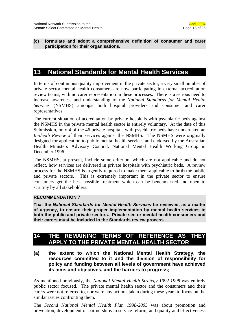#### **(c) formulate and adopt a comprehensive definition of consumer and carer participation for their organisations.**

### **13 National Standards for Mental Health Services**

In terms of continuous quality improvement in the private sector, a very small number of private sector mental health consumers are now participating in external accreditation review teams, with no carer representation in these processes. There is a serious need to increase awareness and understanding of the *National Standards for Mental Health Services* (NSMHS) amongst both hospital providers and consumer and carer representatives.

The current situation of accreditation by private hospitals with psychiatric beds against the NSMHS in the private mental health sector is entirely voluntary. At the date of this Submission, only 4 of the 46 private hospitals with psychiatric beds have undertaken an *In-depth Review* of their services against the NSMHS. The NSMHS were originally designed for application to public mental health services and endorsed by the Australian Health Ministers Advisory Council, National Mental Health Working Group in December 1996.

The NSMHS, at present, include some criterion, which are not applicable and do not reflect, how services are delivered in private hospitals with psychiatric beds. A review process for the NSMHS is urgently required to make them applicable to **both** the public and private sectors. This is extremely important in the private sector to ensure consumers get the best possible treatment which can be benchmarked and open to scrutiny by all stakeholders.

### **RECOMMENDATION 7**

**That the** *National Standards for Mental Health Services* **be reviewed, as a matter of urgency, to ensure their proper implementation by mental health services in both the public and private sectors. Private sector mental health consumers and their carers must be included in the Standards review process.** 

### **14 THE REMAINING TERMS OF REFERENCE AS THEY APPLY TO THE PRIVATE MENTAL HEALTH SECTOR**

**(a) the extent to which the National Mental Health Strategy, the resources committed to it and the division of responsibility for policy and funding between all levels of government have achieved its aims and objectives, and the barriers to progress;** 

As mentioned previously, the *National Mental Health Strategy 1992-1998* was entirely public sector focused. The private mental health sector and the consumers and their carers were not referred to, nor were any actions taken during these years to focus on the similar issues confronting them.

The *Second National Mental Health Plan 1998-2003* was about promotion and prevention, development of partnerships in service reform, and quality and effectiveness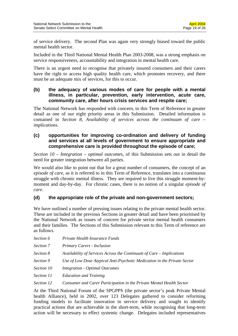of service delivery. The second Plan was again very strongly biased toward the public mental health sector.

Included in the Third National Mental Health Plan 2003-2008, was a strong emphasis on service responsiveness, accountability and integration in mental health care.

There is an urgent need to recognise that privately insured consumers and their carers have the right to access high quality health care, which promotes recovery, and there must be an adequate mix of services, for this to occur.

### **(b) the adequacy of various modes of care for people with a mental illness, in particular, prevention, early intervention, acute care, community care, after hours crisis services and respite care;**

The National Network has responded with concern, to this Term of Reference in greater detail as one of our eight priority areas in this Submission. Detailed information is contained in *Section 8, Availability of services across the continuum of care – implications.*

### **(c) opportunities for improving co-ordination and delivery of funding and services at all levels of government to ensure appropriate and comprehensive care is provided throughout the episode of care;**

*Section 10 – Integration – optimal outcomes*, of this Submission sets out in detail the need for greater integration between all parties.

We would also like to point out that for a great number of consumers, the concept of an *episode of care*, as it is referred to in this Term of Reference, translates into a continuous struggle with chronic mental illness. They are required to live this struggle moment-bymoment and day-by-day. For chronic cases, there is no notion of a singular *episode of care*.

### **(d) the appropriate role of the private and non-government sectors;**

We have outlined a number of pressing issues relating to the private mental health sector. These are included in the previous Sections in greater detail and have been prioritised by the National Network as issues of concern for private sector mental health consumers and their families. The Sections of this Submission relevant to this Term of reference are as follows.

| Section 6  | Private Health Insurance Funds                                           |
|------------|--------------------------------------------------------------------------|
| Section 7  | Primary Carers - Inclusion                                               |
| Section 8  | Availability of Services Across the Continuum of Care – Implications     |
| Section 9  | Use of Low Dose Atypical Anti-Psychotic Medication in the Private Sector |
| Section 10 | Integration - Optimal Outcomes                                           |
| Section 11 | <b>Education and Training</b>                                            |
| Section 12 | Consumer and Carer Participation in the Private Mental Health Sector     |

At the Third National Forum of the SPGPPS (the private sector's peak Private Mental health Alliance), held in 2002, over 123 Delegates gathered to consider reforming funding models to facilitate innovation in service delivery and sought to identify practical actions that are achievable in the short-term, while recognising that long-term action will be necessary to effect systemic change. Delegates included representatives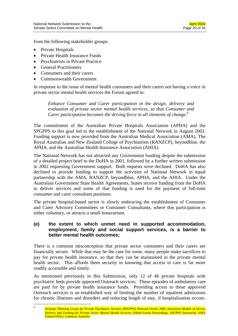from the following stakeholder groups.

- Private Hospitals
- Private Health Insurance Funds
- Psychiatrists in Private Practice
- General Practitioners
- Consumers and their carers
- Commonwealth Government

In response to the issue of mental health consumers and their carers not having a voice in private sector mental health services the Forum agreed to:

*Enhance Consumer and Carer participation in the design, delivery and evaluation of private sector mental health services, so that Consumer and Carer participation becomes the driving force in all elements of change.6*

The commitment of the Australian Private Hospitals Association (APHA) and the SPGPPS to this goal led to the establishment of the National Network in August 2002. Funding support is now provided from the Australian Medical Association (AMA), The Royal Australian and New Zealand College of Psychiatrists (RANZCP), beyondblue, the APHA, and the Australian Health Insurance Association (AHIA).

The National Network has not attracted any Government funding despite the submission of a detailed project brief to the DoHA in 2001, followed by a further written submission in 2002 requesting Government support. Both requests were declined. DoHA has also declined to provide funding to support the activities of National Network in equal partnership with the AMA, RANZCP, beyondblue, APHA, and the AHIA. Under the Australian Government State Health Agreements, States receive funding from the DoHA to deliver services and some of that funding is used for the payment of full-time consumer and carer consultant positions.

The private hospital-based sector is slowly embracing the establishment of Consumer and Carer Advisory Committees or Consumer Consultants, where this participation is either voluntary, or attracts a small honorarium.

### **(e) the extent to which unmet need in supported accommodation, employment, family and social support services, is a barrier to better mental health outcomes;**

There is a common misconception that private sector consumers and their carers are financially secure. While that may be the case for some, many people make sacrifices to pay for private health insurance, so that they can be maintained in the private mental health sector. This affords them security in knowing that access to care is far more readily accessible and timely.

As mentioned previously in this Submission, only 12 of 46 private hospitals with psychiatric beds provide approved Outreach services. These episodes of ambulatory care are paid for by private health insurance funds. Providing access to these approved Outreach services is an established way of limiting the number of inpatient admissions for chronic illnesses and disorders and reducing length of stay, if hospitalisation occurs.

 $\overline{6}$ <sup>6</sup> *Strategic Planning Group for Private Psychiatric Services (SPGPPS) National Forum 2002, Innovative Models of Service Delivery and Funding for Private Sector Mental Health Services*, Edited Forum Proceedings, SPGPPS Secretariat, AMA Federal Office, Canberra, Australia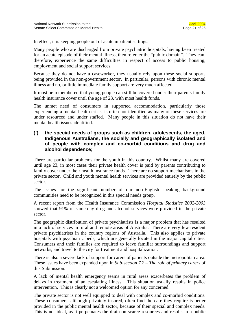In effect, it is keeping people out of acute inpatient settings.

Many people who are discharged from private psychiatric hospitals, having been treated for an acute episode of their mental illness, then re-enter the "public domain". They can, therefore, experience the same difficulties in respect of access to public housing, employment and social support services.

Because they do not have a caseworker, they usually rely upon these social supports being provided in the non-government sector. In particular, persons with chronic mental illness and no, or little immediate family support are very much affected.

It must be remembered that young people can still be covered under their parents family health insurance cover until the age of 23, with most health funds.

The unmet need of consumers in supported accommodation, particularly those experiencing a mental health crisis, is often not identified as many of these services are under resourced and under staffed. Many people in this situation do not have their mental health issues identified.

#### **(f) the special needs of groups such as children, adolescents, the aged, Indigenous Australians, the socially and geographically isolated and of people with complex and co-morbid conditions and drug and alcohol dependence;**

There are particular problems for the youth in this country. Whilst many are covered until age 23, in most cases their private health cover is paid by parents contributing to family cover under their health insurance funds. There are no support mechanisms in the private sector. Child and youth mental health services are provided entirely by the public sector.

The issues for the significant number of our non-English speaking background communities need to be recognized in this special needs group.

A recent report from the Health Insurance Commission *Hospital Statistics 2002-2003*  showed that 91% of same-day drug and alcohol services were provided in the private sector.

The geographic distribution of private psychiatrists is a major problem that has resulted in a lack of services in rural and remote areas of Australia. There are very few resident private psychiatrists in the country regions of Australia. This also applies to private hospitals with psychiatric beds, which are generally located in the major capital cities. Consumers and their families are required to leave familiar surroundings and support networks, and travel to the city for treatment and hospitalization.

There is also a severe lack of support for carers of patients outside the metropolitan area. These issues have been expanded upon in *Sub-section 7.2 – The role of primary carers* of this Submission.

A lack of mental health emergency teams in rural areas exacerbates the problem of delays in treatment of an escalating illness. This situation usually results in police intervention. This is clearly not a welcomed option for any concerned.

The private sector is not well equipped to deal with complex and co-morbid conditions. These consumers, although privately insured, often find the care they require is better provided in the public mental health sector, because of their special and complex needs. This is not ideal, as it perpetuates the drain on scarce resources and results in a public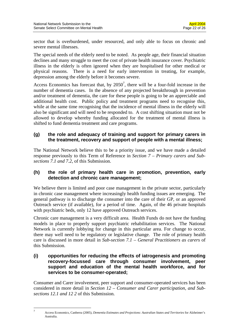sector that is overburdened, under resourced, and only able to focus on chronic and severe mental illnesses.

The special needs of the elderly need to be noted. As people age, their financial situation declines and many struggle to meet the cost of private health insurance cover. Psychiatric illness in the elderly is often ignored when they are hospitalised for other medical or physical reasons. There is a need for early intervention in treating, for example, depression among the elderly before it becomes severe.

Access Economics has forecast that, by  $2050^7$ , there will be a four-fold increase in the number of dementia cases. In the absence of any projected breakthrough in prevention and/or treatment of dementia, the care for these people is going to be an appreciable and additional health cost. Public policy and treatment programs need to recognise this, while at the same time recognising that the incidence of mental illness in the elderly will also be significant and will need to be responded to. A cost shifting situation must not be allowed to develop whereby funding allocated for the treatment of mental illness is shifted to fund dementia treatment and care programs.

### **(g) the role and adequacy of training and support for primary carers in the treatment, recovery and support of people with a mental illness;**

The National Network believe this to be a priority issue, and we have made a detailed response previously to this Term of Reference in *Section 7 – Primary carers and Subsections 7.1 and 7.2*, of this Submission.

### **(h) the role of primary health care in promotion, prevention, early detection and chronic care management;**

We believe there is limited and poor case management in the private sector, particularly in chronic case management where increasingly health funding issues are emerging. The general pathway is to discharge the consumer into the care of their GP, or an approved Outreach service (if available), for a period of time. Again, of the 46 private hospitals with psychiatric beds, only 12 have approved Outreach services.

Chronic care management is a very difficult area. Health Funds do not have the funding models in place to properly support psychiatric rehabilitation services. The National Network is currently lobbying for change in this particular area. For change to occur, there may well need to be regulatory or legislative change. The role of primary health care is discussed in more detail in *Sub-section 7.1 – General Practitioners as carers* of this Submission.

### **(i) opportunities for reducing the effects of iatrogenesis and promoting recovery-focussed care through consumer involvement, peer support and education of the mental health workforce, and for services to be consumer-operated;**

Consumer and Carer involvement, peer support and consumer-operated services has been considered in more detail in *Section 12 – Consumer and Carer participation, and Subsections 12.1 and 12 2* of this Submission.

 $\overline{7}$ 

<sup>7</sup> Access Economics, Canberra (2005), *Dementia Estimates and Projections: Australian States and Territories* for Alzheimer's Australia.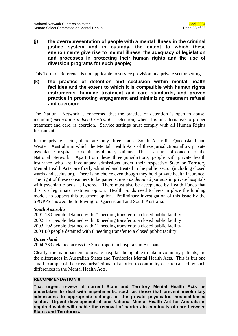**(j) the overrepresentation of people with a mental illness in the criminal justice system and in custody, the extent to which these environments give rise to mental illness, the adequacy of legislation and processes in protecting their human rights and the use of diversion programs for such people;** 

This Term of Reference is not applicable to service provision in a private sector setting.

**(k) the practice of detention and seclusion within mental health facilities and the extent to which it is compatible with human rights instruments, humane treatment and care standards, and proven practice in promoting engagement and minimizing treatment refusal and coercion;** 

The National Network is concerned that the practice of detention is open to abuse, including *medication induced restraint*. Detention, when it is an alternative to proper treatment and care, is coercion. Service settings must comply with all Human Rights Instruments.

In the private sector, there are only three states, South Australia, Queensland and Western Australia in which the Mental Health Acts of these jurisdictions allow private psychiatric hospitals to detain involuntary patients. This is an area of concern for the National Network. Apart from these three jurisdictions, people with private health insurance who are involuntary admissions under their respective State or Territory Mental Health Acts, are firstly admitted and treated in the public sector (including closed wards and seclusion). There is no choice even though they hold private health insurance. The right of these consumers to be patients, *even as detained patients* in private hospitals with psychiatric beds, is ignored. There must also be acceptance by Health Funds that this is a legitimate treatment option. Health Funds need to have in place the funding models to support this treatment option. Preliminary investigation of this issue by the SPGPPS showed the following for Queensland and South Australia.

#### *South Australia*

2001 180 people detained with 21 needing transfer to a closed public facility 2002 151 people detained with 10 needing transfer to a closed public facility 2003 102 people detained with 11 needing transfer to a closed public facility 2004 80 people detained with 8 needing transfer to a closed public facility

#### *Queensland*

2004 239 detained across the 3 metropolitan hospitals in Brisbane

Clearly, the main barriers to private hospitals being able to take involuntary patients, are the differences in Australian States and Territories Mental Health Acts. This is but one small example of the cross-jurisdictional disruption to continuity of care caused by such differences in the Mental Health Acts.

#### **RECOMMENDATION 8**

**That urgent review of current State and Territory Mental Health Acts be undertaken to deal with impediments, such as those that prevent involuntary admissions to appropriate settings in the private psychiatric hospital-based sector. Urgent development of one National Mental Health Act for Australia is required which will enable the removal of barriers to continuity of care between States and Territories.**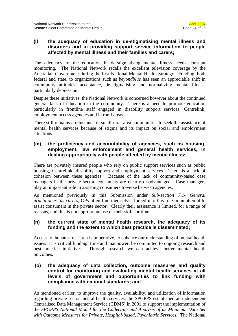### **(l***)* **the adequacy of education in de-stigmatising mental illness and disorders and in providing support service information to people affected by mental illness and their families and carers;**

The adequacy of the education in de-stigmatising mental illness needs constant monitoring. The National Network recalls the excellent television coverage by the Australian Government during the first National Mental Health Strategy. Funding, both federal and state, to organizations such as *beyondblue* has seen an appreciable shift in community attitudes, acceptance, de-stigmatising and normalizing mental illness, particularly depression.

Despite these initiatives, the National Network is concerned however about the continued general lack of education in the community. There is a need to promote education particularly in frontline staff engaged in disability support services, Centrelink, employment access agencies and in rural areas.

There still remains a reluctance in small rural area communities to seek the assistance of mental health services because of stigma and its impact on social and employment situations.

### **(m) the proficiency and accountability of agencies, such as housing, employment, law enforcement and general health services, in dealing appropriately with people affected by mental illness;**

There are privately insured people who rely on public support services such as public housing, Centrelink, disability support and employment services. There is a lack of cohesion between these agencies. Because of the lack of community-based case managers in the private sector, consumers are clearly disadvantaged. Case managers play an important role in assisting consumers traverse between agencies.

As mentioned previously in this Submission under *Sub-section 7.1- General practitioners as carers*, GPs often find themselves forced into this role in an attempt to assist consumers in the private sector. Clearly their assistance is limited, for a range of reasons, and this is not appropriate use of their skills or time.

### **(n) the current state of mental health research, the adequacy of its funding and the extent to which best practice is disseminated;**

Access to the latest research is imperative, to enhance our understanding of mental health issues. It is critical funding, time and manpower, be committed to ongoing research and best practice initiatives. Through research we can achieve better mental health outcomes.

### **(o) the adequacy of data collection, outcome measures and quality control for monitoring and evaluating mental health services at all levels of government and opportunities to link funding with compliance with national standards; and**

As mentioned earlier, to improve the quality, availability, and utilization of information regarding private sector mental health services, the SPGPPS established an independent Centralised Data Management Service (CDMS) in 2001 to support the implementation of the *SPGPPS National Model for the Collection and Analysis of as Minimum Data Set with Outcome Measures for Private, Hospital-based, Psychiatric Services.* The National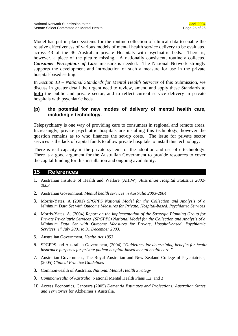Model has put in place systems for the routine collection of clinical data to enable the relative effectiveness of various models of mental health service delivery to be evaluated across 43 of the 46 Australian private Hospitals with psychiatric beds. There is, however, a piece of the picture missing. A nationally consistent, routinely collected *Consumer Perceptions of Care* measure is needed. The National Network strongly supports the development and introduction of such a measure for use in the private hospital-based setting.

In *Section 13 – National Standards for Mental Health Services* of this Submission, we discuss in greater detail the urgent need to review, amend and apply these Standards to **both** the public and private sector, and to reflect current service delivery in private hospitals with psychiatric beds.

### **(p) the potential for new modes of delivery of mental health care, including e-technology.**

Telepsychiatry is one way of providing care to consumers in regional and remote areas. Increasingly, private psychiatric hospitals are installing this technology, however the question remains as to who finances the set-up costs. The issue for private sector services is the lack of capital funds to allow private hospitals to install this technology.

There is real capacity in the private system for the adoption and use of e-technology. There is a good argument for the Australian Government to provide resources to cover the capital funding for this installation and ongoing availability*.* 

### **15 References**

- 1. Australian Institute of Health and Welfare (AIHW), *Australian Hospital Statistics 2002- 2003.*
- 2. Australian Government; *Mental health services in Australia 2003-2004*
- 3. Morris-Yates, A (2001) *SPGPPS National Model for the Collection and Analysis of a Minimum Data Set with Outcome Measures for Private, Hospital-based, Psychiatric Services*
- 4. Morris-Yates, A. (2004) *Report on the implementation of the Strategic Planning Group for Private Psychiatric Services (SPGPPS) National Model for the Collection and Analysis of a Minimum Data Set with Outcome Measures for Private, Hospital-based, Psychiatric Services, 1st July 2001 to 31 December 2003.*
- 5. Australian Government*, Health Act 1953*
- 6. SPGPPS and Australian Government, (2004) *"Guidelines for determining benefits for health insurance purposes for private patient hospital-based mental health care."*
- 7. Australian Government, The Royal Australian and New Zealand College of Psychiatrists, (2005) *Clinical Practice Guidelines*
- 8. Commonwealth of Australia, *National Mental Health Strategy*
- 9. *Commonwealth of Australia,* National Mental Health Plans 1,2, and 3
- 10. Access Economics, Canberra (2005) *Dementia Estimates and Projections: Australian States and Territories* for Alzheimer's Australia.